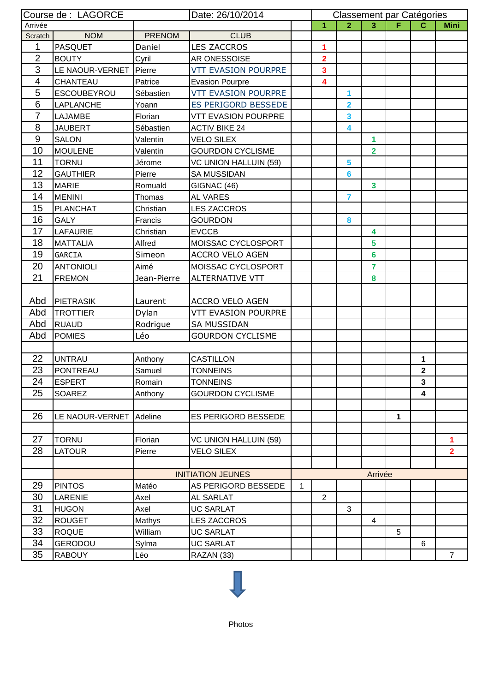| Arrivée<br>1<br>3 <sup>1</sup><br>F.<br>2 <sup>1</sup><br>C<br><b>Mini</b><br><b>NOM</b><br><b>PRENOM</b><br><b>CLUB</b><br>Scratch<br>1<br><b>LES ZACCROS</b><br><b>PASQUET</b><br>Daniel<br>1<br>$\overline{2}$<br><b>BOUTY</b><br>$\overline{\mathbf{2}}$<br>Cyril<br>AR ONESSOISE<br>3<br>LE NAOUR-VERNET<br><b>VTT EVASION POURPRE</b><br>Pierre<br>3<br>$\overline{\mathcal{A}}$<br><b>CHANTEAU</b><br>Patrice<br>$\overline{\mathbf{4}}$<br><b>Evasion Pourpre</b><br>5<br><b>VTT EVASION POURPRE</b><br>ESCOUBEYROU<br>Sébastien<br>1<br>6<br>ES PERIGORD BESSEDE<br><b>LAPLANCHE</b><br>Yoann<br>2<br>$\overline{7}$<br>3<br><b>LAJAMBE</b><br>Florian<br><b>VTT EVASION POURPRE</b><br>8<br><b>JAUBERT</b><br>Sébastien<br><b>ACTIV BIKE 24</b><br>4<br>9<br><b>SALON</b><br><b>VELO SILEX</b><br>1<br>Valentin<br>10<br>$\overline{2}$<br><b>MOULENE</b><br><b>GOURDON CYCLISME</b><br>Valentin<br>11<br><b>TORNU</b><br>5<br>Jérome<br>VC UNION HALLUIN (59)<br>12<br><b>GAUTHIER</b><br>Pierre<br><b>SA MUSSIDAN</b><br>6<br>13<br><b>MARIE</b><br>$\mathbf{3}$<br>Romuald<br>GIGNAC (46)<br>14<br><b>MENINI</b><br>AL VARES<br>$\overline{7}$<br>Thomas<br>15<br><b>PLANCHAT</b><br><b>LES ZACCROS</b><br>Christian<br>16<br><b>GALY</b><br>Francis<br><b>GOURDON</b><br>8<br>17<br><b>LAFAURIE</b><br><b>EVCCB</b><br>Christian<br>4<br>18<br><b>MATTALIA</b><br>MOISSAC CYCLOSPORT<br>5<br>Alfred<br>19<br>Simeon<br><b>ACCRO VELO AGEN</b><br>6<br>GARCIA<br>20<br>MOISSAC CYCLOSPORT<br><b>ANTONIOLI</b><br>Aimé<br>7<br>21<br><b>FREMON</b><br>Jean-Pierre<br><b>ALTERNATIVE VTT</b><br>8<br>Abd<br>PIETRASIK<br><b>ACCRO VELO AGEN</b><br>Laurent<br>Abd<br>VTT EVASION POURPRE<br><b>TROTTIER</b><br>Dylan<br>Abd<br><b>SA MUSSIDAN</b><br><b>RUAUD</b><br>Rodrigue<br>Abd<br>Léo<br><b>POMIES</b><br><b>GOURDON CYCLISME</b><br>22<br><b>UNTRAU</b><br>CASTILLON<br>1<br>Anthony<br>23<br>Samuel<br>$\mathbf{2}$<br>PONTREAU<br><b>TONNEINS</b><br>24<br><b>ESPERT</b><br>Romain<br><b>TONNEINS</b><br>$\mathbf 3$<br>25<br>4<br>SOAREZ<br><b>GOURDON CYCLISME</b><br>Anthony<br>26<br>LE NAOUR-VERNET<br>Adeline<br>ES PERIGORD BESSEDE<br>1<br>27<br><b>TORNU</b><br>Florian<br><b>VC UNION HALLUIN (59)</b><br>1<br>28<br>Pierre<br>$\overline{2}$<br><b>LATOUR</b><br><b>VELO SILEX</b><br><b>INITIATION JEUNES</b><br>Arrivée<br>29<br><b>PINTOS</b><br>Matéo<br>AS PERIGORD BESSEDE<br>1<br>30<br>LARENIE<br>$\overline{2}$<br>Axel<br>AL SARLAT<br>31<br><b>HUGON</b><br>Axel<br><b>UC SARLAT</b><br>3<br>32<br><b>ROUGET</b><br><b>LES ZACCROS</b><br>4<br>Mathys<br>33<br><b>ROQUE</b><br><b>UC SARLAT</b><br>5<br>William<br>34<br><b>GERODOU</b><br><b>UC SARLAT</b><br>Sylma<br>6<br>35<br><b>RABOUY</b><br>Léo<br>RAZAN (33)<br>$\overline{7}$ | Course de : LAGORCE<br>Date: 26/10/2014 |  |  |  |  | Classement par Catégories |  |  |  |  |  |
|-----------------------------------------------------------------------------------------------------------------------------------------------------------------------------------------------------------------------------------------------------------------------------------------------------------------------------------------------------------------------------------------------------------------------------------------------------------------------------------------------------------------------------------------------------------------------------------------------------------------------------------------------------------------------------------------------------------------------------------------------------------------------------------------------------------------------------------------------------------------------------------------------------------------------------------------------------------------------------------------------------------------------------------------------------------------------------------------------------------------------------------------------------------------------------------------------------------------------------------------------------------------------------------------------------------------------------------------------------------------------------------------------------------------------------------------------------------------------------------------------------------------------------------------------------------------------------------------------------------------------------------------------------------------------------------------------------------------------------------------------------------------------------------------------------------------------------------------------------------------------------------------------------------------------------------------------------------------------------------------------------------------------------------------------------------------------------------------------------------------------------------------------------------------------------------------------------------------------------------------------------------------------------------------------------------------------------------------------------------------------------------------------------------------------------------------------------------------------------------------------------------------------------------------------------------------------------------------------------------------------------------------------------------------------------------------------------------------------------------------------------------------------------------|-----------------------------------------|--|--|--|--|---------------------------|--|--|--|--|--|
|                                                                                                                                                                                                                                                                                                                                                                                                                                                                                                                                                                                                                                                                                                                                                                                                                                                                                                                                                                                                                                                                                                                                                                                                                                                                                                                                                                                                                                                                                                                                                                                                                                                                                                                                                                                                                                                                                                                                                                                                                                                                                                                                                                                                                                                                                                                                                                                                                                                                                                                                                                                                                                                                                                                                                                                   |                                         |  |  |  |  |                           |  |  |  |  |  |
|                                                                                                                                                                                                                                                                                                                                                                                                                                                                                                                                                                                                                                                                                                                                                                                                                                                                                                                                                                                                                                                                                                                                                                                                                                                                                                                                                                                                                                                                                                                                                                                                                                                                                                                                                                                                                                                                                                                                                                                                                                                                                                                                                                                                                                                                                                                                                                                                                                                                                                                                                                                                                                                                                                                                                                                   |                                         |  |  |  |  |                           |  |  |  |  |  |
|                                                                                                                                                                                                                                                                                                                                                                                                                                                                                                                                                                                                                                                                                                                                                                                                                                                                                                                                                                                                                                                                                                                                                                                                                                                                                                                                                                                                                                                                                                                                                                                                                                                                                                                                                                                                                                                                                                                                                                                                                                                                                                                                                                                                                                                                                                                                                                                                                                                                                                                                                                                                                                                                                                                                                                                   |                                         |  |  |  |  |                           |  |  |  |  |  |
|                                                                                                                                                                                                                                                                                                                                                                                                                                                                                                                                                                                                                                                                                                                                                                                                                                                                                                                                                                                                                                                                                                                                                                                                                                                                                                                                                                                                                                                                                                                                                                                                                                                                                                                                                                                                                                                                                                                                                                                                                                                                                                                                                                                                                                                                                                                                                                                                                                                                                                                                                                                                                                                                                                                                                                                   |                                         |  |  |  |  |                           |  |  |  |  |  |
|                                                                                                                                                                                                                                                                                                                                                                                                                                                                                                                                                                                                                                                                                                                                                                                                                                                                                                                                                                                                                                                                                                                                                                                                                                                                                                                                                                                                                                                                                                                                                                                                                                                                                                                                                                                                                                                                                                                                                                                                                                                                                                                                                                                                                                                                                                                                                                                                                                                                                                                                                                                                                                                                                                                                                                                   |                                         |  |  |  |  |                           |  |  |  |  |  |
|                                                                                                                                                                                                                                                                                                                                                                                                                                                                                                                                                                                                                                                                                                                                                                                                                                                                                                                                                                                                                                                                                                                                                                                                                                                                                                                                                                                                                                                                                                                                                                                                                                                                                                                                                                                                                                                                                                                                                                                                                                                                                                                                                                                                                                                                                                                                                                                                                                                                                                                                                                                                                                                                                                                                                                                   |                                         |  |  |  |  |                           |  |  |  |  |  |
|                                                                                                                                                                                                                                                                                                                                                                                                                                                                                                                                                                                                                                                                                                                                                                                                                                                                                                                                                                                                                                                                                                                                                                                                                                                                                                                                                                                                                                                                                                                                                                                                                                                                                                                                                                                                                                                                                                                                                                                                                                                                                                                                                                                                                                                                                                                                                                                                                                                                                                                                                                                                                                                                                                                                                                                   |                                         |  |  |  |  |                           |  |  |  |  |  |
|                                                                                                                                                                                                                                                                                                                                                                                                                                                                                                                                                                                                                                                                                                                                                                                                                                                                                                                                                                                                                                                                                                                                                                                                                                                                                                                                                                                                                                                                                                                                                                                                                                                                                                                                                                                                                                                                                                                                                                                                                                                                                                                                                                                                                                                                                                                                                                                                                                                                                                                                                                                                                                                                                                                                                                                   |                                         |  |  |  |  |                           |  |  |  |  |  |
|                                                                                                                                                                                                                                                                                                                                                                                                                                                                                                                                                                                                                                                                                                                                                                                                                                                                                                                                                                                                                                                                                                                                                                                                                                                                                                                                                                                                                                                                                                                                                                                                                                                                                                                                                                                                                                                                                                                                                                                                                                                                                                                                                                                                                                                                                                                                                                                                                                                                                                                                                                                                                                                                                                                                                                                   |                                         |  |  |  |  |                           |  |  |  |  |  |
|                                                                                                                                                                                                                                                                                                                                                                                                                                                                                                                                                                                                                                                                                                                                                                                                                                                                                                                                                                                                                                                                                                                                                                                                                                                                                                                                                                                                                                                                                                                                                                                                                                                                                                                                                                                                                                                                                                                                                                                                                                                                                                                                                                                                                                                                                                                                                                                                                                                                                                                                                                                                                                                                                                                                                                                   |                                         |  |  |  |  |                           |  |  |  |  |  |
|                                                                                                                                                                                                                                                                                                                                                                                                                                                                                                                                                                                                                                                                                                                                                                                                                                                                                                                                                                                                                                                                                                                                                                                                                                                                                                                                                                                                                                                                                                                                                                                                                                                                                                                                                                                                                                                                                                                                                                                                                                                                                                                                                                                                                                                                                                                                                                                                                                                                                                                                                                                                                                                                                                                                                                                   |                                         |  |  |  |  |                           |  |  |  |  |  |
|                                                                                                                                                                                                                                                                                                                                                                                                                                                                                                                                                                                                                                                                                                                                                                                                                                                                                                                                                                                                                                                                                                                                                                                                                                                                                                                                                                                                                                                                                                                                                                                                                                                                                                                                                                                                                                                                                                                                                                                                                                                                                                                                                                                                                                                                                                                                                                                                                                                                                                                                                                                                                                                                                                                                                                                   |                                         |  |  |  |  |                           |  |  |  |  |  |
|                                                                                                                                                                                                                                                                                                                                                                                                                                                                                                                                                                                                                                                                                                                                                                                                                                                                                                                                                                                                                                                                                                                                                                                                                                                                                                                                                                                                                                                                                                                                                                                                                                                                                                                                                                                                                                                                                                                                                                                                                                                                                                                                                                                                                                                                                                                                                                                                                                                                                                                                                                                                                                                                                                                                                                                   |                                         |  |  |  |  |                           |  |  |  |  |  |
|                                                                                                                                                                                                                                                                                                                                                                                                                                                                                                                                                                                                                                                                                                                                                                                                                                                                                                                                                                                                                                                                                                                                                                                                                                                                                                                                                                                                                                                                                                                                                                                                                                                                                                                                                                                                                                                                                                                                                                                                                                                                                                                                                                                                                                                                                                                                                                                                                                                                                                                                                                                                                                                                                                                                                                                   |                                         |  |  |  |  |                           |  |  |  |  |  |
|                                                                                                                                                                                                                                                                                                                                                                                                                                                                                                                                                                                                                                                                                                                                                                                                                                                                                                                                                                                                                                                                                                                                                                                                                                                                                                                                                                                                                                                                                                                                                                                                                                                                                                                                                                                                                                                                                                                                                                                                                                                                                                                                                                                                                                                                                                                                                                                                                                                                                                                                                                                                                                                                                                                                                                                   |                                         |  |  |  |  |                           |  |  |  |  |  |
|                                                                                                                                                                                                                                                                                                                                                                                                                                                                                                                                                                                                                                                                                                                                                                                                                                                                                                                                                                                                                                                                                                                                                                                                                                                                                                                                                                                                                                                                                                                                                                                                                                                                                                                                                                                                                                                                                                                                                                                                                                                                                                                                                                                                                                                                                                                                                                                                                                                                                                                                                                                                                                                                                                                                                                                   |                                         |  |  |  |  |                           |  |  |  |  |  |
|                                                                                                                                                                                                                                                                                                                                                                                                                                                                                                                                                                                                                                                                                                                                                                                                                                                                                                                                                                                                                                                                                                                                                                                                                                                                                                                                                                                                                                                                                                                                                                                                                                                                                                                                                                                                                                                                                                                                                                                                                                                                                                                                                                                                                                                                                                                                                                                                                                                                                                                                                                                                                                                                                                                                                                                   |                                         |  |  |  |  |                           |  |  |  |  |  |
|                                                                                                                                                                                                                                                                                                                                                                                                                                                                                                                                                                                                                                                                                                                                                                                                                                                                                                                                                                                                                                                                                                                                                                                                                                                                                                                                                                                                                                                                                                                                                                                                                                                                                                                                                                                                                                                                                                                                                                                                                                                                                                                                                                                                                                                                                                                                                                                                                                                                                                                                                                                                                                                                                                                                                                                   |                                         |  |  |  |  |                           |  |  |  |  |  |
|                                                                                                                                                                                                                                                                                                                                                                                                                                                                                                                                                                                                                                                                                                                                                                                                                                                                                                                                                                                                                                                                                                                                                                                                                                                                                                                                                                                                                                                                                                                                                                                                                                                                                                                                                                                                                                                                                                                                                                                                                                                                                                                                                                                                                                                                                                                                                                                                                                                                                                                                                                                                                                                                                                                                                                                   |                                         |  |  |  |  |                           |  |  |  |  |  |
|                                                                                                                                                                                                                                                                                                                                                                                                                                                                                                                                                                                                                                                                                                                                                                                                                                                                                                                                                                                                                                                                                                                                                                                                                                                                                                                                                                                                                                                                                                                                                                                                                                                                                                                                                                                                                                                                                                                                                                                                                                                                                                                                                                                                                                                                                                                                                                                                                                                                                                                                                                                                                                                                                                                                                                                   |                                         |  |  |  |  |                           |  |  |  |  |  |
|                                                                                                                                                                                                                                                                                                                                                                                                                                                                                                                                                                                                                                                                                                                                                                                                                                                                                                                                                                                                                                                                                                                                                                                                                                                                                                                                                                                                                                                                                                                                                                                                                                                                                                                                                                                                                                                                                                                                                                                                                                                                                                                                                                                                                                                                                                                                                                                                                                                                                                                                                                                                                                                                                                                                                                                   |                                         |  |  |  |  |                           |  |  |  |  |  |
|                                                                                                                                                                                                                                                                                                                                                                                                                                                                                                                                                                                                                                                                                                                                                                                                                                                                                                                                                                                                                                                                                                                                                                                                                                                                                                                                                                                                                                                                                                                                                                                                                                                                                                                                                                                                                                                                                                                                                                                                                                                                                                                                                                                                                                                                                                                                                                                                                                                                                                                                                                                                                                                                                                                                                                                   |                                         |  |  |  |  |                           |  |  |  |  |  |
|                                                                                                                                                                                                                                                                                                                                                                                                                                                                                                                                                                                                                                                                                                                                                                                                                                                                                                                                                                                                                                                                                                                                                                                                                                                                                                                                                                                                                                                                                                                                                                                                                                                                                                                                                                                                                                                                                                                                                                                                                                                                                                                                                                                                                                                                                                                                                                                                                                                                                                                                                                                                                                                                                                                                                                                   |                                         |  |  |  |  |                           |  |  |  |  |  |
|                                                                                                                                                                                                                                                                                                                                                                                                                                                                                                                                                                                                                                                                                                                                                                                                                                                                                                                                                                                                                                                                                                                                                                                                                                                                                                                                                                                                                                                                                                                                                                                                                                                                                                                                                                                                                                                                                                                                                                                                                                                                                                                                                                                                                                                                                                                                                                                                                                                                                                                                                                                                                                                                                                                                                                                   |                                         |  |  |  |  |                           |  |  |  |  |  |
|                                                                                                                                                                                                                                                                                                                                                                                                                                                                                                                                                                                                                                                                                                                                                                                                                                                                                                                                                                                                                                                                                                                                                                                                                                                                                                                                                                                                                                                                                                                                                                                                                                                                                                                                                                                                                                                                                                                                                                                                                                                                                                                                                                                                                                                                                                                                                                                                                                                                                                                                                                                                                                                                                                                                                                                   |                                         |  |  |  |  |                           |  |  |  |  |  |
|                                                                                                                                                                                                                                                                                                                                                                                                                                                                                                                                                                                                                                                                                                                                                                                                                                                                                                                                                                                                                                                                                                                                                                                                                                                                                                                                                                                                                                                                                                                                                                                                                                                                                                                                                                                                                                                                                                                                                                                                                                                                                                                                                                                                                                                                                                                                                                                                                                                                                                                                                                                                                                                                                                                                                                                   |                                         |  |  |  |  |                           |  |  |  |  |  |
|                                                                                                                                                                                                                                                                                                                                                                                                                                                                                                                                                                                                                                                                                                                                                                                                                                                                                                                                                                                                                                                                                                                                                                                                                                                                                                                                                                                                                                                                                                                                                                                                                                                                                                                                                                                                                                                                                                                                                                                                                                                                                                                                                                                                                                                                                                                                                                                                                                                                                                                                                                                                                                                                                                                                                                                   |                                         |  |  |  |  |                           |  |  |  |  |  |
|                                                                                                                                                                                                                                                                                                                                                                                                                                                                                                                                                                                                                                                                                                                                                                                                                                                                                                                                                                                                                                                                                                                                                                                                                                                                                                                                                                                                                                                                                                                                                                                                                                                                                                                                                                                                                                                                                                                                                                                                                                                                                                                                                                                                                                                                                                                                                                                                                                                                                                                                                                                                                                                                                                                                                                                   |                                         |  |  |  |  |                           |  |  |  |  |  |
|                                                                                                                                                                                                                                                                                                                                                                                                                                                                                                                                                                                                                                                                                                                                                                                                                                                                                                                                                                                                                                                                                                                                                                                                                                                                                                                                                                                                                                                                                                                                                                                                                                                                                                                                                                                                                                                                                                                                                                                                                                                                                                                                                                                                                                                                                                                                                                                                                                                                                                                                                                                                                                                                                                                                                                                   |                                         |  |  |  |  |                           |  |  |  |  |  |
|                                                                                                                                                                                                                                                                                                                                                                                                                                                                                                                                                                                                                                                                                                                                                                                                                                                                                                                                                                                                                                                                                                                                                                                                                                                                                                                                                                                                                                                                                                                                                                                                                                                                                                                                                                                                                                                                                                                                                                                                                                                                                                                                                                                                                                                                                                                                                                                                                                                                                                                                                                                                                                                                                                                                                                                   |                                         |  |  |  |  |                           |  |  |  |  |  |
|                                                                                                                                                                                                                                                                                                                                                                                                                                                                                                                                                                                                                                                                                                                                                                                                                                                                                                                                                                                                                                                                                                                                                                                                                                                                                                                                                                                                                                                                                                                                                                                                                                                                                                                                                                                                                                                                                                                                                                                                                                                                                                                                                                                                                                                                                                                                                                                                                                                                                                                                                                                                                                                                                                                                                                                   |                                         |  |  |  |  |                           |  |  |  |  |  |
|                                                                                                                                                                                                                                                                                                                                                                                                                                                                                                                                                                                                                                                                                                                                                                                                                                                                                                                                                                                                                                                                                                                                                                                                                                                                                                                                                                                                                                                                                                                                                                                                                                                                                                                                                                                                                                                                                                                                                                                                                                                                                                                                                                                                                                                                                                                                                                                                                                                                                                                                                                                                                                                                                                                                                                                   |                                         |  |  |  |  |                           |  |  |  |  |  |
|                                                                                                                                                                                                                                                                                                                                                                                                                                                                                                                                                                                                                                                                                                                                                                                                                                                                                                                                                                                                                                                                                                                                                                                                                                                                                                                                                                                                                                                                                                                                                                                                                                                                                                                                                                                                                                                                                                                                                                                                                                                                                                                                                                                                                                                                                                                                                                                                                                                                                                                                                                                                                                                                                                                                                                                   |                                         |  |  |  |  |                           |  |  |  |  |  |
|                                                                                                                                                                                                                                                                                                                                                                                                                                                                                                                                                                                                                                                                                                                                                                                                                                                                                                                                                                                                                                                                                                                                                                                                                                                                                                                                                                                                                                                                                                                                                                                                                                                                                                                                                                                                                                                                                                                                                                                                                                                                                                                                                                                                                                                                                                                                                                                                                                                                                                                                                                                                                                                                                                                                                                                   |                                         |  |  |  |  |                           |  |  |  |  |  |
|                                                                                                                                                                                                                                                                                                                                                                                                                                                                                                                                                                                                                                                                                                                                                                                                                                                                                                                                                                                                                                                                                                                                                                                                                                                                                                                                                                                                                                                                                                                                                                                                                                                                                                                                                                                                                                                                                                                                                                                                                                                                                                                                                                                                                                                                                                                                                                                                                                                                                                                                                                                                                                                                                                                                                                                   |                                         |  |  |  |  |                           |  |  |  |  |  |
|                                                                                                                                                                                                                                                                                                                                                                                                                                                                                                                                                                                                                                                                                                                                                                                                                                                                                                                                                                                                                                                                                                                                                                                                                                                                                                                                                                                                                                                                                                                                                                                                                                                                                                                                                                                                                                                                                                                                                                                                                                                                                                                                                                                                                                                                                                                                                                                                                                                                                                                                                                                                                                                                                                                                                                                   |                                         |  |  |  |  |                           |  |  |  |  |  |
|                                                                                                                                                                                                                                                                                                                                                                                                                                                                                                                                                                                                                                                                                                                                                                                                                                                                                                                                                                                                                                                                                                                                                                                                                                                                                                                                                                                                                                                                                                                                                                                                                                                                                                                                                                                                                                                                                                                                                                                                                                                                                                                                                                                                                                                                                                                                                                                                                                                                                                                                                                                                                                                                                                                                                                                   |                                         |  |  |  |  |                           |  |  |  |  |  |
|                                                                                                                                                                                                                                                                                                                                                                                                                                                                                                                                                                                                                                                                                                                                                                                                                                                                                                                                                                                                                                                                                                                                                                                                                                                                                                                                                                                                                                                                                                                                                                                                                                                                                                                                                                                                                                                                                                                                                                                                                                                                                                                                                                                                                                                                                                                                                                                                                                                                                                                                                                                                                                                                                                                                                                                   |                                         |  |  |  |  |                           |  |  |  |  |  |
|                                                                                                                                                                                                                                                                                                                                                                                                                                                                                                                                                                                                                                                                                                                                                                                                                                                                                                                                                                                                                                                                                                                                                                                                                                                                                                                                                                                                                                                                                                                                                                                                                                                                                                                                                                                                                                                                                                                                                                                                                                                                                                                                                                                                                                                                                                                                                                                                                                                                                                                                                                                                                                                                                                                                                                                   |                                         |  |  |  |  |                           |  |  |  |  |  |
|                                                                                                                                                                                                                                                                                                                                                                                                                                                                                                                                                                                                                                                                                                                                                                                                                                                                                                                                                                                                                                                                                                                                                                                                                                                                                                                                                                                                                                                                                                                                                                                                                                                                                                                                                                                                                                                                                                                                                                                                                                                                                                                                                                                                                                                                                                                                                                                                                                                                                                                                                                                                                                                                                                                                                                                   |                                         |  |  |  |  |                           |  |  |  |  |  |
|                                                                                                                                                                                                                                                                                                                                                                                                                                                                                                                                                                                                                                                                                                                                                                                                                                                                                                                                                                                                                                                                                                                                                                                                                                                                                                                                                                                                                                                                                                                                                                                                                                                                                                                                                                                                                                                                                                                                                                                                                                                                                                                                                                                                                                                                                                                                                                                                                                                                                                                                                                                                                                                                                                                                                                                   |                                         |  |  |  |  |                           |  |  |  |  |  |
|                                                                                                                                                                                                                                                                                                                                                                                                                                                                                                                                                                                                                                                                                                                                                                                                                                                                                                                                                                                                                                                                                                                                                                                                                                                                                                                                                                                                                                                                                                                                                                                                                                                                                                                                                                                                                                                                                                                                                                                                                                                                                                                                                                                                                                                                                                                                                                                                                                                                                                                                                                                                                                                                                                                                                                                   |                                         |  |  |  |  |                           |  |  |  |  |  |
|                                                                                                                                                                                                                                                                                                                                                                                                                                                                                                                                                                                                                                                                                                                                                                                                                                                                                                                                                                                                                                                                                                                                                                                                                                                                                                                                                                                                                                                                                                                                                                                                                                                                                                                                                                                                                                                                                                                                                                                                                                                                                                                                                                                                                                                                                                                                                                                                                                                                                                                                                                                                                                                                                                                                                                                   |                                         |  |  |  |  |                           |  |  |  |  |  |
|                                                                                                                                                                                                                                                                                                                                                                                                                                                                                                                                                                                                                                                                                                                                                                                                                                                                                                                                                                                                                                                                                                                                                                                                                                                                                                                                                                                                                                                                                                                                                                                                                                                                                                                                                                                                                                                                                                                                                                                                                                                                                                                                                                                                                                                                                                                                                                                                                                                                                                                                                                                                                                                                                                                                                                                   |                                         |  |  |  |  |                           |  |  |  |  |  |
|                                                                                                                                                                                                                                                                                                                                                                                                                                                                                                                                                                                                                                                                                                                                                                                                                                                                                                                                                                                                                                                                                                                                                                                                                                                                                                                                                                                                                                                                                                                                                                                                                                                                                                                                                                                                                                                                                                                                                                                                                                                                                                                                                                                                                                                                                                                                                                                                                                                                                                                                                                                                                                                                                                                                                                                   |                                         |  |  |  |  |                           |  |  |  |  |  |
|                                                                                                                                                                                                                                                                                                                                                                                                                                                                                                                                                                                                                                                                                                                                                                                                                                                                                                                                                                                                                                                                                                                                                                                                                                                                                                                                                                                                                                                                                                                                                                                                                                                                                                                                                                                                                                                                                                                                                                                                                                                                                                                                                                                                                                                                                                                                                                                                                                                                                                                                                                                                                                                                                                                                                                                   |                                         |  |  |  |  |                           |  |  |  |  |  |
|                                                                                                                                                                                                                                                                                                                                                                                                                                                                                                                                                                                                                                                                                                                                                                                                                                                                                                                                                                                                                                                                                                                                                                                                                                                                                                                                                                                                                                                                                                                                                                                                                                                                                                                                                                                                                                                                                                                                                                                                                                                                                                                                                                                                                                                                                                                                                                                                                                                                                                                                                                                                                                                                                                                                                                                   |                                         |  |  |  |  |                           |  |  |  |  |  |
|                                                                                                                                                                                                                                                                                                                                                                                                                                                                                                                                                                                                                                                                                                                                                                                                                                                                                                                                                                                                                                                                                                                                                                                                                                                                                                                                                                                                                                                                                                                                                                                                                                                                                                                                                                                                                                                                                                                                                                                                                                                                                                                                                                                                                                                                                                                                                                                                                                                                                                                                                                                                                                                                                                                                                                                   |                                         |  |  |  |  |                           |  |  |  |  |  |